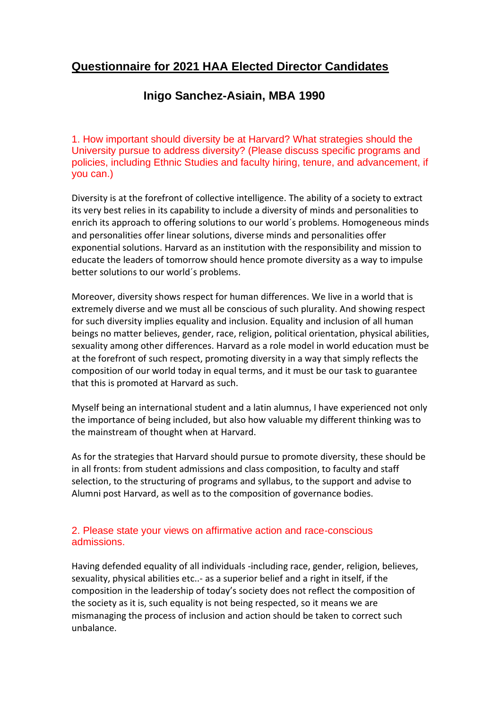# **Questionnaire for 2021 HAA Elected Director Candidates**

# **Inigo Sanchez-Asiain, MBA 1990**

1. How important should diversity be at Harvard? What strategies should the University pursue to address diversity? (Please discuss specific programs and policies, including Ethnic Studies and faculty hiring, tenure, and advancement, if you can.)

Diversity is at the forefront of collective intelligence. The ability of a society to extract its very best relies in its capability to include a diversity of minds and personalities to enrich its approach to offering solutions to our world´s problems. Homogeneous minds and personalities offer linear solutions, diverse minds and personalities offer exponential solutions. Harvard as an institution with the responsibility and mission to educate the leaders of tomorrow should hence promote diversity as a way to impulse better solutions to our world´s problems.

Moreover, diversity shows respect for human differences. We live in a world that is extremely diverse and we must all be conscious of such plurality. And showing respect for such diversity implies equality and inclusion. Equality and inclusion of all human beings no matter believes, gender, race, religion, political orientation, physical abilities, sexuality among other differences. Harvard as a role model in world education must be at the forefront of such respect, promoting diversity in a way that simply reflects the composition of our world today in equal terms, and it must be our task to guarantee that this is promoted at Harvard as such.

Myself being an international student and a latin alumnus, I have experienced not only the importance of being included, but also how valuable my different thinking was to the mainstream of thought when at Harvard.

As for the strategies that Harvard should pursue to promote diversity, these should be in all fronts: from student admissions and class composition, to faculty and staff selection, to the structuring of programs and syllabus, to the support and advise to Alumni post Harvard, as well as to the composition of governance bodies.

## 2. Please state your views on affirmative action and race-conscious admissions.

Having defended equality of all individuals -including race, gender, religion, believes, sexuality, physical abilities etc..- as a superior belief and a right in itself, if the composition in the leadership of today's society does not reflect the composition of the society as it is, such equality is not being respected, so it means we are mismanaging the process of inclusion and action should be taken to correct such unbalance.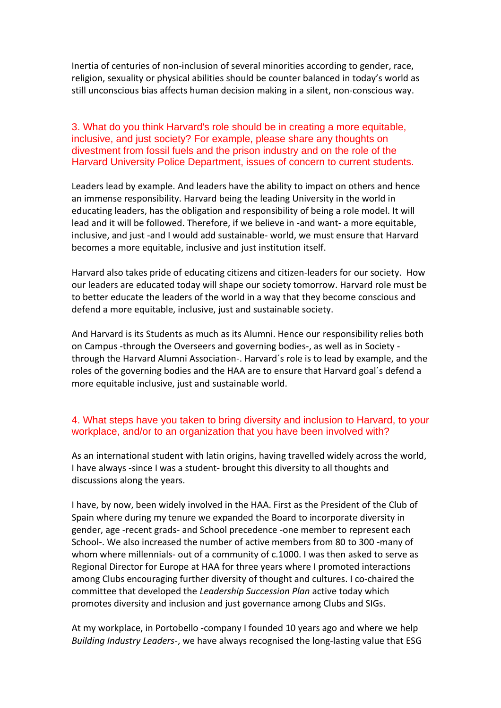Inertia of centuries of non-inclusion of several minorities according to gender, race, religion, sexuality or physical abilities should be counter balanced in today's world as still unconscious bias affects human decision making in a silent, non-conscious way.

3. What do you think Harvard's role should be in creating a more equitable, inclusive, and just society? For example, please share any thoughts on divestment from fossil fuels and the prison industry and on the role of the Harvard University Police Department, issues of concern to current students.

Leaders lead by example. And leaders have the ability to impact on others and hence an immense responsibility. Harvard being the leading University in the world in educating leaders, has the obligation and responsibility of being a role model. It will lead and it will be followed. Therefore, if we believe in -and want- a more equitable, inclusive, and just -and I would add sustainable- world, we must ensure that Harvard becomes a more equitable, inclusive and just institution itself.

Harvard also takes pride of educating citizens and citizen-leaders for our society. How our leaders are educated today will shape our society tomorrow. Harvard role must be to better educate the leaders of the world in a way that they become conscious and defend a more equitable, inclusive, just and sustainable society.

And Harvard is its Students as much as its Alumni. Hence our responsibility relies both on Campus -through the Overseers and governing bodies-, as well as in Society through the Harvard Alumni Association-. Harvard´s role is to lead by example, and the roles of the governing bodies and the HAA are to ensure that Harvard goal´s defend a more equitable inclusive, just and sustainable world.

#### 4. What steps have you taken to bring diversity and inclusion to Harvard, to your workplace, and/or to an organization that you have been involved with?

As an international student with latin origins, having travelled widely across the world, I have always -since I was a student- brought this diversity to all thoughts and discussions along the years.

I have, by now, been widely involved in the HAA. First as the President of the Club of Spain where during my tenure we expanded the Board to incorporate diversity in gender, age -recent grads- and School precedence -one member to represent each School-. We also increased the number of active members from 80 to 300 -many of whom where millennials- out of a community of c.1000. I was then asked to serve as Regional Director for Europe at HAA for three years where I promoted interactions among Clubs encouraging further diversity of thought and cultures. I co-chaired the committee that developed the *Leadership Succession Plan* active today which promotes diversity and inclusion and just governance among Clubs and SIGs.

At my workplace, in Portobello -company I founded 10 years ago and where we help *Building Industry Leaders-*, we have always recognised the long-lasting value that ESG